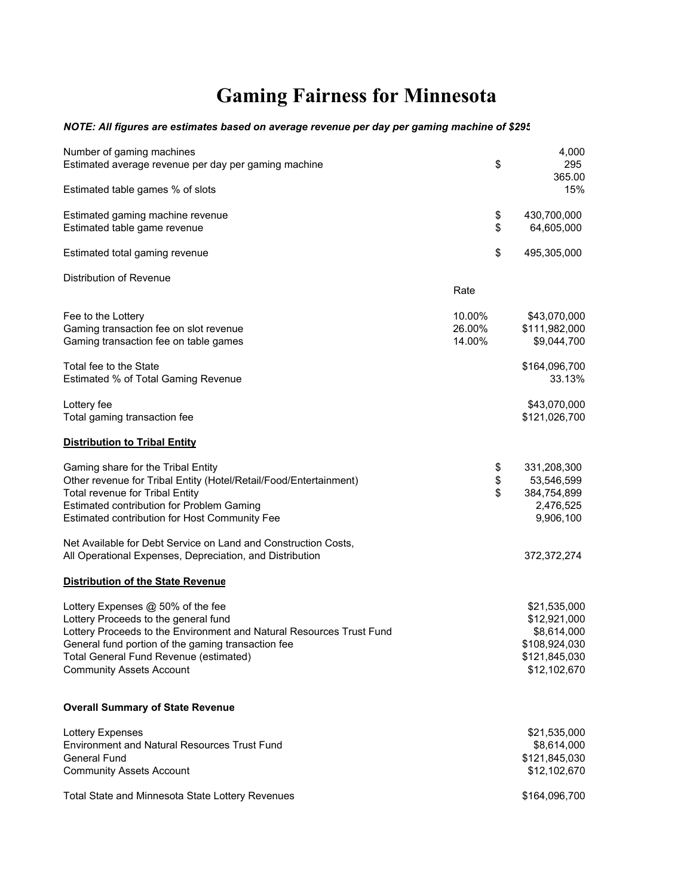## **Gaming Fairness for Minnesota**

## *NOTE: All figures are estimates based on average revenue per day per gaming machine of \$295*

| Number of gaming machines<br>Estimated average revenue per day per gaming machine                                                                                                                                                                                                    | \$                         | 4,000<br>295<br>365.00                                                                        |
|--------------------------------------------------------------------------------------------------------------------------------------------------------------------------------------------------------------------------------------------------------------------------------------|----------------------------|-----------------------------------------------------------------------------------------------|
| Estimated table games % of slots                                                                                                                                                                                                                                                     |                            | 15%                                                                                           |
| Estimated gaming machine revenue<br>Estimated table game revenue                                                                                                                                                                                                                     | \$<br>\$                   | 430,700,000<br>64,605,000                                                                     |
| Estimated total gaming revenue                                                                                                                                                                                                                                                       | \$                         | 495,305,000                                                                                   |
| Distribution of Revenue                                                                                                                                                                                                                                                              |                            |                                                                                               |
|                                                                                                                                                                                                                                                                                      | Rate                       |                                                                                               |
| Fee to the Lottery<br>Gaming transaction fee on slot revenue<br>Gaming transaction fee on table games                                                                                                                                                                                | 10.00%<br>26.00%<br>14.00% | \$43,070,000<br>\$111,982,000<br>\$9,044,700                                                  |
| Total fee to the State<br>Estimated % of Total Gaming Revenue                                                                                                                                                                                                                        |                            | \$164,096,700<br>33.13%                                                                       |
| Lottery fee<br>Total gaming transaction fee                                                                                                                                                                                                                                          |                            | \$43,070,000<br>\$121,026,700                                                                 |
| <b>Distribution to Tribal Entity</b>                                                                                                                                                                                                                                                 |                            |                                                                                               |
| Gaming share for the Tribal Entity<br>Other revenue for Tribal Entity (Hotel/Retail/Food/Entertainment)<br><b>Total revenue for Tribal Entity</b><br><b>Estimated contribution for Problem Gaming</b><br>Estimated contribution for Host Community Fee                               | \$<br>\$<br>\$             | 331,208,300<br>53,546,599<br>384,754,899<br>2,476,525<br>9,906,100                            |
| Net Available for Debt Service on Land and Construction Costs,<br>All Operational Expenses, Depreciation, and Distribution                                                                                                                                                           |                            | 372,372,274                                                                                   |
| <b>Distribution of the State Revenue</b>                                                                                                                                                                                                                                             |                            |                                                                                               |
| Lottery Expenses @ 50% of the fee<br>Lottery Proceeds to the general fund<br>Lottery Proceeds to the Environment and Natural Resources Trust Fund<br>General fund portion of the gaming transaction fee<br>Total General Fund Revenue (estimated)<br><b>Community Assets Account</b> |                            | \$21,535,000<br>\$12,921,000<br>\$8,614,000<br>\$108,924,030<br>\$121,845,030<br>\$12,102,670 |
| <b>Overall Summary of State Revenue</b>                                                                                                                                                                                                                                              |                            |                                                                                               |
| Lottery Expenses<br><b>Environment and Natural Resources Trust Fund</b><br><b>General Fund</b><br><b>Community Assets Account</b>                                                                                                                                                    |                            | \$21,535,000<br>\$8,614,000<br>\$121,845,030<br>\$12,102,670                                  |
| Total State and Minnesota State Lottery Revenues                                                                                                                                                                                                                                     |                            | \$164,096,700                                                                                 |